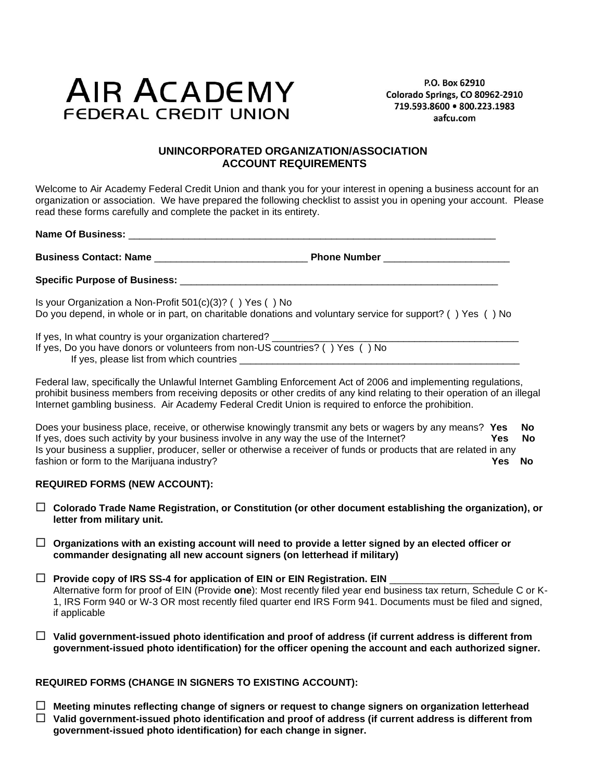# **AIR ACADEMY FEDERAL CREDIT UNION**

P.O. Box 62910 Colorado Springs, CO 80962-2910 719.593.8600 · 800.223.1983 aafcu.com

## **UNINCORPORATED ORGANIZATION/ASSOCIATION ACCOUNT REQUIREMENTS**

Welcome to Air Academy Federal Credit Union and thank you for your interest in opening a business account for an organization or association. We have prepared the following checklist to assist you in opening your account. Please read these forms carefully and complete the packet in its entirety.

**Name Of Business:** \_\_\_\_\_\_\_\_\_\_\_\_\_\_\_\_\_\_\_\_\_\_\_\_\_\_\_\_\_\_\_\_\_\_\_\_\_\_\_\_\_\_\_\_\_\_\_\_\_\_\_\_\_\_\_\_\_\_\_\_\_\_\_\_\_\_\_

**Business Contact: Name** \_\_\_\_\_\_\_\_\_\_\_\_\_\_\_\_\_\_\_\_\_\_\_\_\_\_\_\_ **Phone Number** \_\_\_\_\_\_\_\_\_\_\_\_\_\_\_\_\_\_\_\_\_\_\_

Specific Purpose of Business:

Is your Organization a Non-Profit 501(c)(3)? ( ) Yes ( ) No Do you depend, in whole or in part, on charitable donations and voluntary service for support? ( ) Yes ( ) No

If yes, In what country is your organization chartered? \_\_\_\_

- If yes, Do you have donors or volunteers from non-US countries? ( ) Yes ( ) No
	- If yes, please list from which countries

Federal law, specifically the Unlawful Internet Gambling Enforcement Act of 2006 and implementing regulations, prohibit business members from receiving deposits or other credits of any kind relating to their operation of an illegal Internet gambling business. Air Academy Federal Credit Union is required to enforce the prohibition.

Does your business place, receive, or otherwise knowingly transmit any bets or wagers by any means? **Yes No** If yes, does such activity by your business involve in any way the use of the Internet? **Yes No** Is your business a supplier, producer, seller or otherwise a receiver of funds or products that are related in any fashion or form to the Marijuana industry? **Yes No**

#### **REQUIRED FORMS (NEW ACCOUNT):**

- **Colorado Trade Name Registration, or Constitution (or other document establishing the organization), or letter from military unit.**
- **Organizations with an existing account will need to provide a letter signed by an elected officer or commander designating all new account signers (on letterhead if military)**
- □ Provide copy of IRS SS-4 for application of EIN or EIN Registration. EIN Alternative form for proof of EIN (Provide **one**): Most recently filed year end business tax return, Schedule C or K-1, IRS Form 940 or W-3 OR most recently filed quarter end IRS Form 941. Documents must be filed and signed, if applicable
- **Valid government-issued photo identification and proof of address (if current address is different from government-issued photo identification) for the officer opening the account and each authorized signer.**

#### **REQUIRED FORMS (CHANGE IN SIGNERS TO EXISTING ACCOUNT):**

 **Meeting minutes reflecting change of signers or request to change signers on organization letterhead Valid government-issued photo identification and proof of address (if current address is different from government-issued photo identification) for each change in signer.**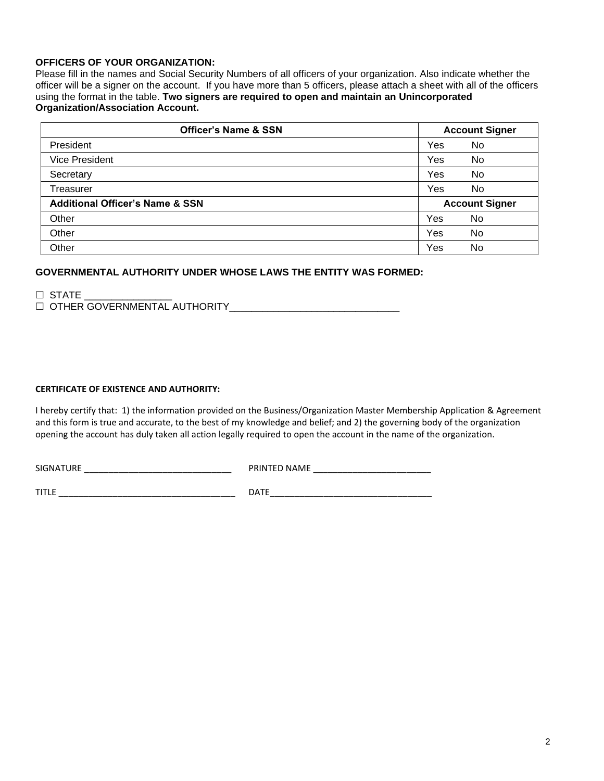#### **OFFICERS OF YOUR ORGANIZATION:**

Please fill in the names and Social Security Numbers of all officers of your organization. Also indicate whether the officer will be a signer on the account. If you have more than 5 officers, please attach a sheet with all of the officers using the format in the table. **Two signers are required to open and maintain an Unincorporated Organization/Association Account.**

| <b>Officer's Name &amp; SSN</b>            | <b>Account Signer</b> |     |
|--------------------------------------------|-----------------------|-----|
| President                                  | Yes                   | No. |
| <b>Vice President</b>                      | Yes                   | No. |
| Secretary                                  | Yes                   | No. |
| Treasurer                                  | Yes                   | No  |
| <b>Additional Officer's Name &amp; SSN</b> | <b>Account Signer</b> |     |
| Other                                      | Yes                   | No. |
| Other                                      | Yes                   | No  |
| Other                                      | Yes                   | No  |

## **GOVERNMENTAL AUTHORITY UNDER WHOSE LAWS THE ENTITY WAS FORMED:**

 $\Box$  STATE  $\Box$  OTHER GOVERNMENTAL AUTHORITY

#### **CERTIFICATE OF EXISTENCE AND AUTHORITY:**

I hereby certify that: 1) the information provided on the Business/Organization Master Membership Application & Agreement and this form is true and accurate, to the best of my knowledge and belief; and 2) the governing body of the organization opening the account has duly taken all action legally required to open the account in the name of the organization.

SIGNATURE \_\_\_\_\_\_\_\_\_\_\_\_\_\_\_\_\_\_\_\_\_\_\_\_\_\_\_\_\_\_ PRINTED NAME \_\_\_\_\_\_\_\_\_\_\_\_\_\_\_\_\_\_\_\_\_\_\_\_ TITLE \_\_\_\_\_\_\_\_\_\_\_\_\_\_\_\_\_\_\_\_\_\_\_\_\_\_\_\_\_\_\_\_\_\_\_\_ DATE\_\_\_\_\_\_\_\_\_\_\_\_\_\_\_\_\_\_\_\_\_\_\_\_\_\_\_\_\_\_\_\_\_